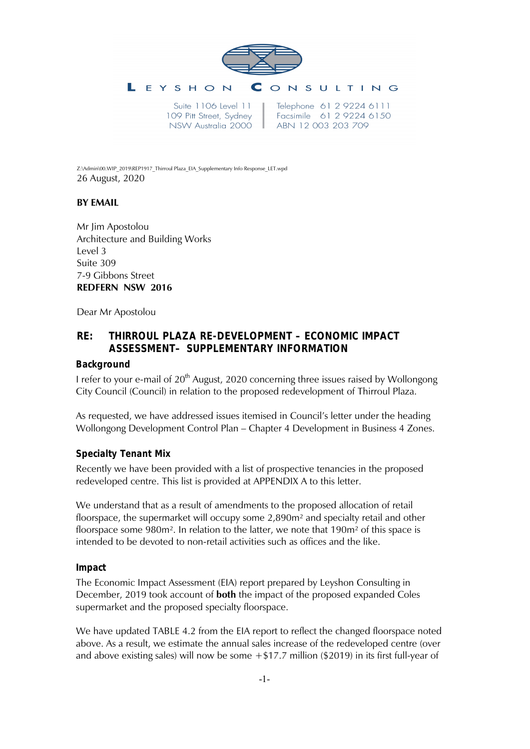

109 Pitt Street, Sydney NSW Australia 2000

Telephone 61 2 9224 6111 Facsimile 61 2 9224 6150 ABN 12 003 203 709

Z:\Admin\00.WIP\_2019\REP1917\_Thirroul Plaza\_EIA\_Supplementary Info Response\_LET.wpd 26 August, 2020

## **BY EMAIL**

Mr Jim Apostolou Architecture and Building Works Level 3 Suite 309 7-9 Gibbons Street **REDFERN NSW 2016**

Dear Mr Apostolou

# **RE: THIRROUL PLAZA RE-DEVELOPMENT – ECONOMIC IMPACT ASSESSMENT– SUPPLEMENTARY INFORMATION**

## **Background**

I refer to your e-mail of 20<sup>th</sup> August, 2020 concerning three issues raised by Wollongong City Council (Council) in relation to the proposed redevelopment of Thirroul Plaza.

As requested, we have addressed issues itemised in Council's letter under the heading Wollongong Development Control Plan – Chapter 4 Development in Business 4 Zones.

## **Specialty Tenant Mix**

Recently we have been provided with a list of prospective tenancies in the proposed redeveloped centre. This list is provided at APPENDIX A to this letter.

We understand that as a result of amendments to the proposed allocation of retail floorspace, the supermarket will occupy some 2,890m² and specialty retail and other floorspace some  $980m^2$ . In relation to the latter, we note that  $190m^2$  of this space is intended to be devoted to non-retail activities such as offices and the like.

#### **Impact**

The Economic Impact Assessment (EIA) report prepared by Leyshon Consulting in December, 2019 took account of **both** the impact of the proposed expanded Coles supermarket and the proposed specialty floorspace.

We have updated TABLE 4.2 from the EIA report to reflect the changed floorspace noted above. As a result, we estimate the annual sales increase of the redeveloped centre (over and above existing sales) will now be some  $+ $17.7$  million (\$2019) in its first full-year of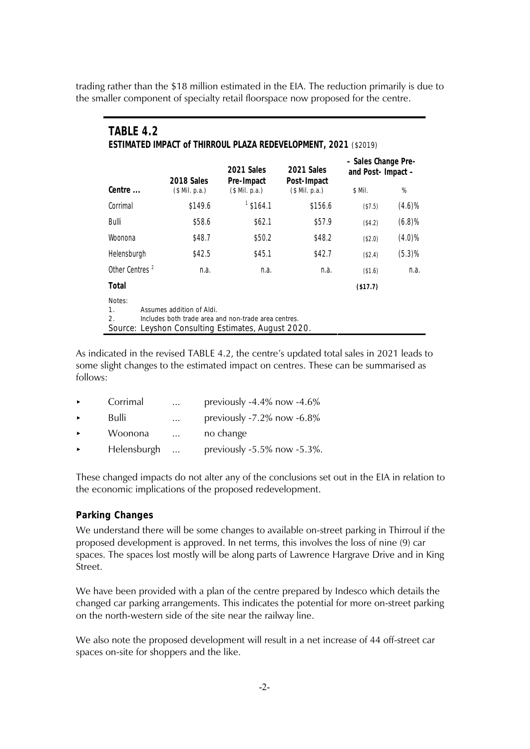trading rather than the \$18 million estimated in the EIA. The reduction primarily is due to the smaller component of specialty retail floorspace now proposed for the centre.

| TABLE 4.2<br>ESTIMATED IMPACT of THIRROUL PLAZA REDEVELOPMENT, 2021 (\$2019)                                                                                                                       |                |                          |                           |                                         |           |  |  |
|----------------------------------------------------------------------------------------------------------------------------------------------------------------------------------------------------|----------------|--------------------------|---------------------------|-----------------------------------------|-----------|--|--|
|                                                                                                                                                                                                    | 2018 Sales     | 2021 Sales<br>Pre-Impact | 2021 Sales<br>Post-Impact | - Sales Change Pre-<br>and Post-Impact- |           |  |  |
| Centre                                                                                                                                                                                             | (\$ Mil. p.a.) | $$$ Mil. p.a.)           | $($$ Mil. p.a.)           | \$ Mil.                                 | %         |  |  |
| Corrimal                                                                                                                                                                                           | \$149.6        | $1$ \$164.1              | \$156.6                   | (\$7.5)                                 | (4.6)%    |  |  |
| Bulli                                                                                                                                                                                              | \$58.6         | \$62.1                   | \$57.9                    | (\$4.2)                                 | (6.8)%    |  |  |
| Woonona                                                                                                                                                                                            | \$48.7         | \$50.2                   | \$48.2                    | (\$2.0)                                 | $(4.0)\%$ |  |  |
| Helensburgh                                                                                                                                                                                        | \$42.5         | \$45.1                   | \$42.7                    | (\$2.4)                                 | (5.3)%    |  |  |
| Other Centres <sup>2</sup>                                                                                                                                                                         | n.a.           | n.a.                     | n.a.                      | (\$1.6)                                 | n.a.      |  |  |
| Total                                                                                                                                                                                              |                |                          |                           | (\$17.7)                                |           |  |  |
| Notes:<br>$\mathbf{1}$ .<br>Assumes addition of Aldi.<br>Includes both trade area and non-trade area centres.<br>$\mathcal{D}_{\mathcal{C}}$<br>Source: Leyshon Consulting Estimates, August 2020. |                |                          |                           |                                         |           |  |  |

As indicated in the revised TABLE 4.2, the centre's updated total sales in 2021 leads to some slight changes to the estimated impact on centres. These can be summarised as follows:

| $\blacktriangleright$ | Corrimal    | $\cdots$  | previously $-4.4\%$ now $-4.6\%$   |
|-----------------------|-------------|-----------|------------------------------------|
| $\blacktriangleright$ | Bulli       | $\cdots$  | previously $-7.2\%$ now $-6.8\%$   |
| $\blacktriangleright$ | Woonona     | $\cdots$  | no change                          |
| $\blacktriangleright$ | Helensburgh | $\ddotsc$ | previously $-5.5\%$ now $-5.3\%$ . |

These changed impacts do not alter any of the conclusions set out in the EIA in relation to the economic implications of the proposed redevelopment.

#### **Parking Changes**

We understand there will be some changes to available on-street parking in Thirroul if the proposed development is approved. In net terms, this involves the loss of nine (9) car spaces. The spaces lost mostly will be along parts of Lawrence Hargrave Drive and in King Street.

We have been provided with a plan of the centre prepared by Indesco which details the changed car parking arrangements. This indicates the potential for more on-street parking on the north-western side of the site near the railway line.

We also note the proposed development will result in a net increase of 44 off-street car spaces on-site for shoppers and the like.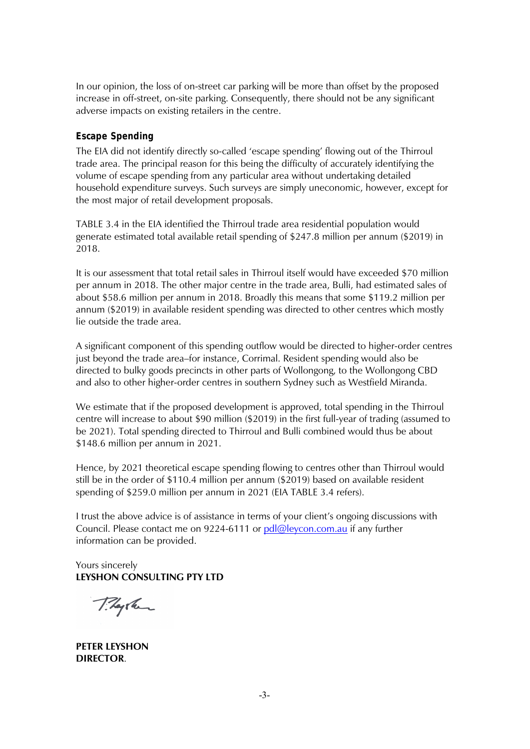In our opinion, the loss of on-street car parking will be more than offset by the proposed increase in off-street, on-site parking. Consequently, there should not be any significant adverse impacts on existing retailers in the centre.

## **Escape Spending**

The EIA did not identify directly so-called 'escape spending' flowing out of the Thirroul trade area. The principal reason for this being the difficulty of accurately identifying the volume of escape spending from any particular area without undertaking detailed household expenditure surveys. Such surveys are simply uneconomic, however, except for the most major of retail development proposals.

TABLE 3.4 in the EIA identified the Thirroul trade area residential population would generate estimated total available retail spending of \$247.8 million per annum (\$2019) in 2018.

It is our assessment that total retail sales in Thirroul itself would have exceeded \$70 million per annum in 2018. The other major centre in the trade area, Bulli, had estimated sales of about \$58.6 million per annum in 2018. Broadly this means that some \$119.2 million per annum (\$2019) in available resident spending was directed to other centres which mostly lie outside the trade area.

A significant component of this spending outflow would be directed to higher-order centres just beyond the trade area–for instance, Corrimal. Resident spending would also be directed to bulky goods precincts in other parts of Wollongong, to the Wollongong CBD and also to other higher-order centres in southern Sydney such as Westfield Miranda.

We estimate that if the proposed development is approved, total spending in the Thirroul centre will increase to about \$90 million (\$2019) in the first full-year of trading (assumed to be 2021). Total spending directed to Thirroul and Bulli combined would thus be about \$148.6 million per annum in 2021.

Hence, by 2021 theoretical escape spending flowing to centres other than Thirroul would still be in the order of \$110.4 million per annum (\$2019) based on available resident spending of \$259.0 million per annum in 2021 (EIA TABLE 3.4 refers).

I trust the above advice is of assistance in terms of your client's ongoing discussions with Council. Please contact me on 9224-6111 or [pdl@leycon.com.au](mailto:pdl@leycon.com.au) if any further information can be provided.

Yours sincerely **LEYSHON CONSULTING PTY LTD**

They have

**PETER LEYSHON DIRECTOR**.